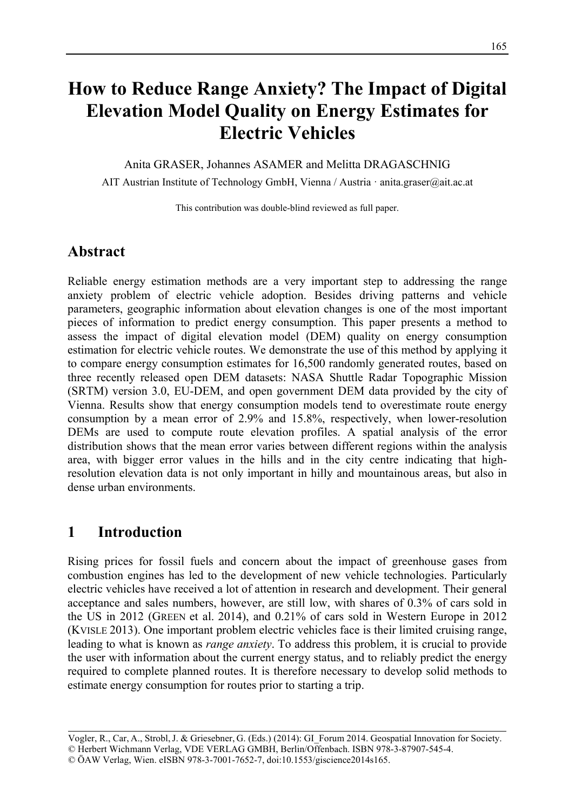# **How to Reduce Range Anxiety? The Impact of Digital Elevation Model Quality on Energy Estimates for Electric Vehicles**

Anita GRASER, Johannes ASAMER and Melitta DRAGASCHNIG

AIT Austrian Institute of Technology GmbH, Vienna / Austria · anita.graser@ait.ac.at

This contribution was double-blind reviewed as full paper.

### **Abstract**

Reliable energy estimation methods are a very important step to addressing the range anxiety problem of electric vehicle adoption. Besides driving patterns and vehicle parameters, geographic information about elevation changes is one of the most important pieces of information to predict energy consumption. This paper presents a method to assess the impact of digital elevation model (DEM) quality on energy consumption estimation for electric vehicle routes. We demonstrate the use of this method by applying it to compare energy consumption estimates for 16,500 randomly generated routes, based on three recently released open DEM datasets: NASA Shuttle Radar Topographic Mission (SRTM) version 3.0, EU-DEM, and open government DEM data provided by the city of Vienna. Results show that energy consumption models tend to overestimate route energy consumption by a mean error of 2.9% and 15.8%, respectively, when lower-resolution DEMs are used to compute route elevation profiles. A spatial analysis of the error distribution shows that the mean error varies between different regions within the analysis area, with bigger error values in the hills and in the city centre indicating that highresolution elevation data is not only important in hilly and mountainous areas, but also in dense urban environments.

### **1 Introduction**

Rising prices for fossil fuels and concern about the impact of greenhouse gases from combustion engines has led to the development of new vehicle technologies. Particularly electric vehicles have received a lot of attention in research and development. Their general acceptance and sales numbers, however, are still low, with shares of 0.3% of cars sold in the US in 2012 (GREEN et al. 2014), and 0.21% of cars sold in Western Europe in 2012 (KVISLE 2013). One important problem electric vehicles face is their limited cruising range, leading to what is known as *range anxiety*. To address this problem, it is crucial to provide the user with information about the current energy status, and to reliably predict the energy required to complete planned routes. It is therefore necessary to develop solid methods to estimate energy consumption for routes prior to starting a trip.

Vogler, R., Car, A., Strobl,J. & Griesebner, G. (Eds.) (2014): GI\_Forum 2014. Geospatial Innovation for Society. © Herbert Wichmann Verlag, VDE VERLAG GMBH, Berlin/Offenbach. ISBN 978-3-87907-545-4. © ÖAW Verlag, Wien. eISBN 978-3-7001-7652-7, doi:10.1553/giscience2014s165.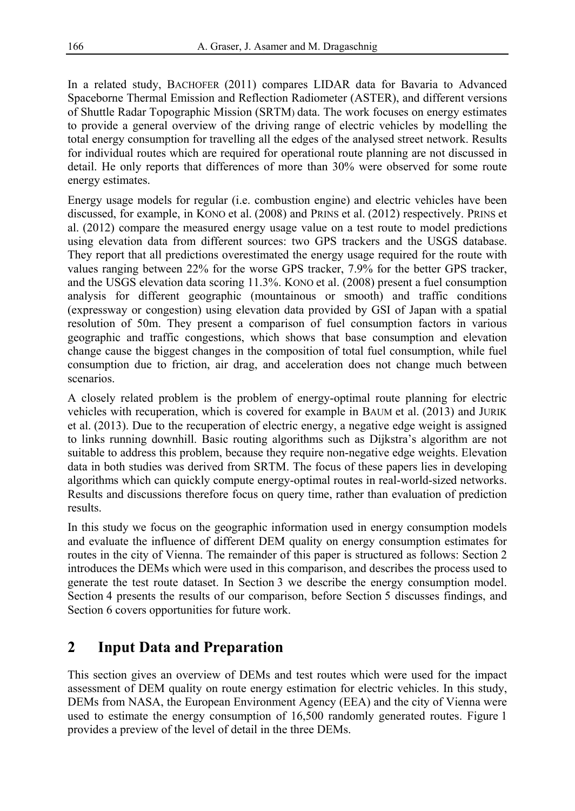In a related study, BACHOFER (2011) compares LIDAR data for Bavaria to Advanced Spaceborne Thermal Emission and Reflection Radiometer (ASTER), and different versions of Shuttle Radar Topographic Mission (SRTM) data. The work focuses on energy estimates to provide a general overview of the driving range of electric vehicles by modelling the total energy consumption for travelling all the edges of the analysed street network. Results for individual routes which are required for operational route planning are not discussed in detail. He only reports that differences of more than 30% were observed for some route energy estimates.

Energy usage models for regular (i.e. combustion engine) and electric vehicles have been discussed, for example, in KONO et al. (2008) and PRINS et al. (2012) respectively. PRINS et al. (2012) compare the measured energy usage value on a test route to model predictions using elevation data from different sources: two GPS trackers and the USGS database. They report that all predictions overestimated the energy usage required for the route with values ranging between 22% for the worse GPS tracker, 7.9% for the better GPS tracker, and the USGS elevation data scoring 11.3%. KONO et al. (2008) present a fuel consumption analysis for different geographic (mountainous or smooth) and traffic conditions (expressway or congestion) using elevation data provided by GSI of Japan with a spatial resolution of 50m. They present a comparison of fuel consumption factors in various geographic and traffic congestions, which shows that base consumption and elevation change cause the biggest changes in the composition of total fuel consumption, while fuel consumption due to friction, air drag, and acceleration does not change much between scenarios.

A closely related problem is the problem of energy-optimal route planning for electric vehicles with recuperation, which is covered for example in BAUM et al. (2013) and JURIK et al. (2013). Due to the recuperation of electric energy, a negative edge weight is assigned to links running downhill. Basic routing algorithms such as Dijkstra's algorithm are not suitable to address this problem, because they require non-negative edge weights. Elevation data in both studies was derived from SRTM. The focus of these papers lies in developing algorithms which can quickly compute energy-optimal routes in real-world-sized networks. Results and discussions therefore focus on query time, rather than evaluation of prediction results.

In this study we focus on the geographic information used in energy consumption models and evaluate the influence of different DEM quality on energy consumption estimates for routes in the city of Vienna. The remainder of this paper is structured as follows: Section 2 introduces the DEMs which were used in this comparison, and describes the process used to generate the test route dataset. In Section 3 we describe the energy consumption model. Section 4 presents the results of our comparison, before Section 5 discusses findings, and Section 6 covers opportunities for future work.

# **2 Input Data and Preparation**

This section gives an overview of DEMs and test routes which were used for the impact assessment of DEM quality on route energy estimation for electric vehicles. In this study, DEMs from NASA, the European Environment Agency (EEA) and the city of Vienna were used to estimate the energy consumption of 16,500 randomly generated routes. Figure 1 provides a preview of the level of detail in the three DEMs.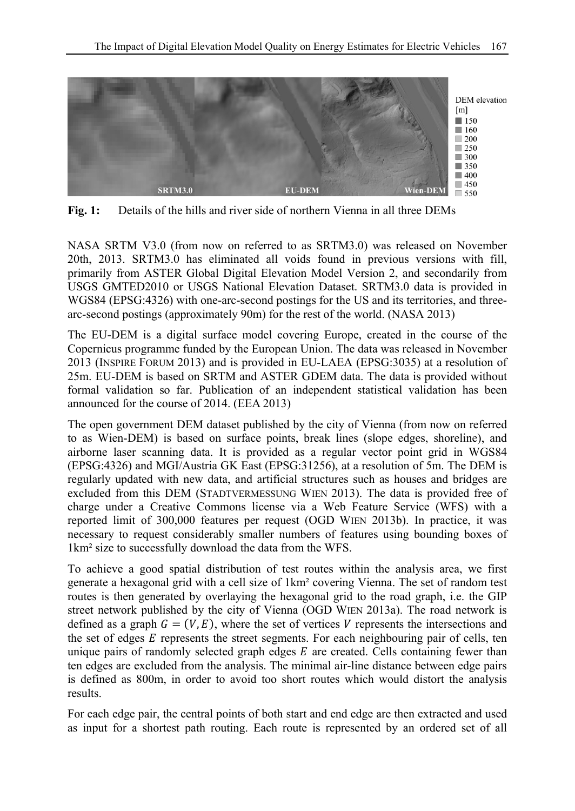

**Fig. 1:** Details of the hills and river side of northern Vienna in all three DEMs

NASA SRTM V3.0 (from now on referred to as SRTM3.0) was released on November 20th, 2013. SRTM3.0 has eliminated all voids found in previous versions with fill, primarily from ASTER Global Digital Elevation Model Version 2, and secondarily from USGS GMTED2010 or USGS National Elevation Dataset. SRTM3.0 data is provided in WGS84 (EPSG:4326) with one-arc-second postings for the US and its territories, and threearc-second postings (approximately 90m) for the rest of the world. (NASA 2013)

The EU-DEM is a digital surface model covering Europe, created in the course of the Copernicus programme funded by the European Union. The data was released in November 2013 (INSPIRE FORUM 2013) and is provided in EU-LAEA (EPSG:3035) at a resolution of 25m. EU-DEM is based on SRTM and ASTER GDEM data. The data is provided without formal validation so far. Publication of an independent statistical validation has been announced for the course of 2014. (EEA 2013)

The open government DEM dataset published by the city of Vienna (from now on referred to as Wien-DEM) is based on surface points, break lines (slope edges, shoreline), and airborne laser scanning data. It is provided as a regular vector point grid in WGS84 (EPSG:4326) and MGI/Austria GK East (EPSG:31256), at a resolution of 5m. The DEM is regularly updated with new data, and artificial structures such as houses and bridges are excluded from this DEM (STADTVERMESSUNG WIEN 2013). The data is provided free of charge under a Creative Commons license via a Web Feature Service (WFS) with a reported limit of 300,000 features per request (OGD WIEN 2013b). In practice, it was necessary to request considerably smaller numbers of features using bounding boxes of 1km² size to successfully download the data from the WFS.

To achieve a good spatial distribution of test routes within the analysis area, we first generate a hexagonal grid with a cell size of 1km² covering Vienna. The set of random test routes is then generated by overlaying the hexagonal grid to the road graph, i.e. the GIP street network published by the city of Vienna (OGD WIEN 2013a). The road network is defined as a graph  $G = (V, E)$ , where the set of vertices V represents the intersections and the set of edges  $E$  represents the street segments. For each neighbouring pair of cells, ten unique pairs of randomly selected graph edges  $E$  are created. Cells containing fewer than ten edges are excluded from the analysis. The minimal air-line distance between edge pairs is defined as 800m, in order to avoid too short routes which would distort the analysis results.

For each edge pair, the central points of both start and end edge are then extracted and used as input for a shortest path routing. Each route is represented by an ordered set of all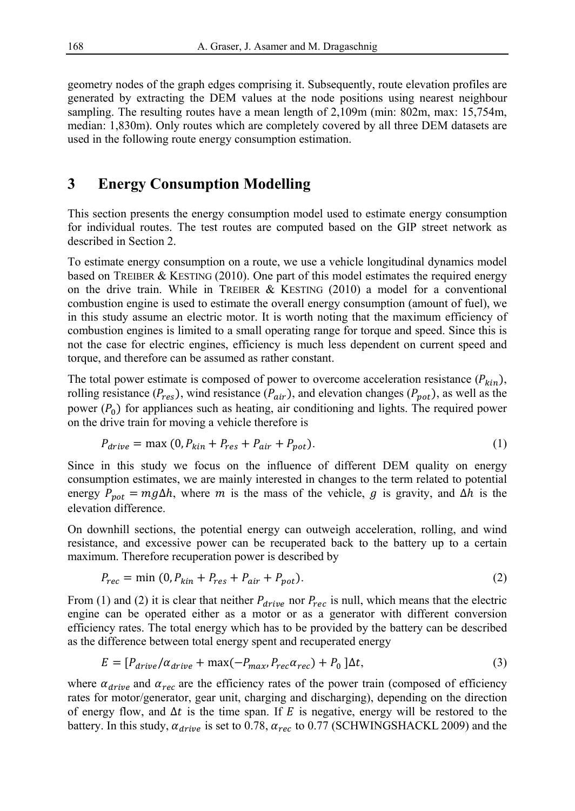geometry nodes of the graph edges comprising it. Subsequently, route elevation profiles are generated by extracting the DEM values at the node positions using nearest neighbour sampling. The resulting routes have a mean length of 2,109m (min: 802m, max: 15,754m, median: 1,830m). Only routes which are completely covered by all three DEM datasets are used in the following route energy consumption estimation.

### **3 Energy Consumption Modelling**

This section presents the energy consumption model used to estimate energy consumption for individual routes. The test routes are computed based on the GIP street network as described in Section 2.

To estimate energy consumption on a route, we use a vehicle longitudinal dynamics model based on TREIBER & KESTING (2010). One part of this model estimates the required energy on the drive train. While in TREIBER  $&$  KESTING (2010) a model for a conventional combustion engine is used to estimate the overall energy consumption (amount of fuel), we in this study assume an electric motor. It is worth noting that the maximum efficiency of combustion engines is limited to a small operating range for torque and speed. Since this is not the case for electric engines, efficiency is much less dependent on current speed and torque, and therefore can be assumed as rather constant.

The total power estimate is composed of power to overcome acceleration resistance  $(P_{kin})$ , rolling resistance ( $P_{res}$ ), wind resistance ( $P_{air}$ ), and elevation changes ( $P_{pot}$ ), as well as the power  $(P_0)$  for appliances such as heating, air conditioning and lights. The required power on the drive train for moving a vehicle therefore is

$$
P_{drive} = \max(0, P_{kin} + P_{res} + P_{air} + P_{pot}).\tag{1}
$$

Since in this study we focus on the influence of different DEM quality on energy consumption estimates, we are mainly interested in changes to the term related to potential energy  $P_{pot} = mg\Delta h$ , where m is the mass of the vehicle, g is gravity, and  $\Delta h$  is the elevation difference.

On downhill sections, the potential energy can outweigh acceleration, rolling, and wind resistance, and excessive power can be recuperated back to the battery up to a certain maximum. Therefore recuperation power is described by

$$
P_{rec} = \min(0, P_{kin} + P_{res} + P_{air} + P_{pot}).
$$
\n
$$
(2)
$$

From (1) and (2) it is clear that neither  $P_{drive}$  nor  $P_{rec}$  is null, which means that the electric engine can be operated either as a motor or as a generator with different conversion efficiency rates. The total energy which has to be provided by the battery can be described as the difference between total energy spent and recuperated energy

$$
E = [P_{drive}/\alpha_{drive} + \max(-P_{max}, P_{rec}\alpha_{rec}) + P_0] \Delta t, \tag{3}
$$

where  $\alpha_{drive}$  and  $\alpha_{rec}$  are the efficiency rates of the power train (composed of efficiency rates for motor/generator, gear unit, charging and discharging), depending on the direction of energy flow, and  $\Delta t$  is the time span. If E is negative, energy will be restored to the battery. In this study,  $\alpha_{drive}$  is set to 0.78,  $\alpha_{rec}$  to 0.77 (SCHWINGSHACKL 2009) and the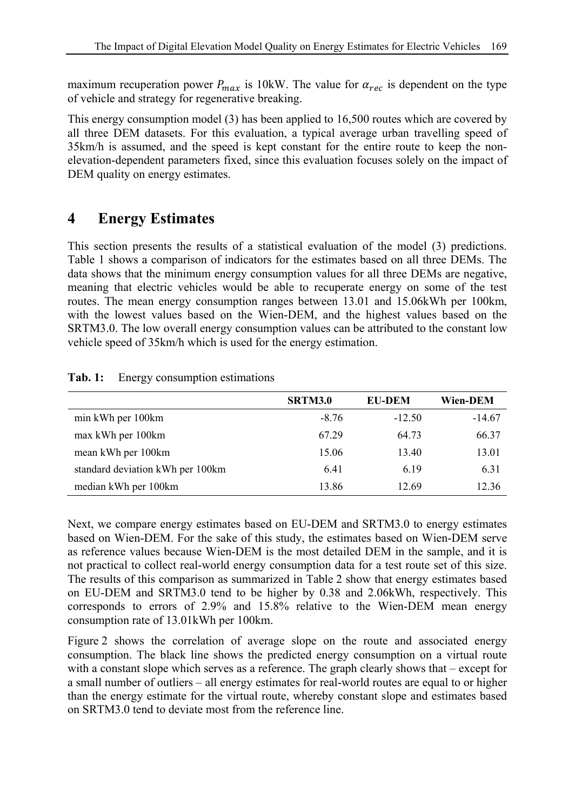maximum recuperation power  $P_{max}$  is 10kW. The value for  $\alpha_{rec}$  is dependent on the type of vehicle and strategy for regenerative breaking.

This energy consumption model (3) has been applied to 16,500 routes which are covered by all three DEM datasets. For this evaluation, a typical average urban travelling speed of 35km/h is assumed, and the speed is kept constant for the entire route to keep the nonelevation-dependent parameters fixed, since this evaluation focuses solely on the impact of DEM quality on energy estimates.

# **4 Energy Estimates**

This section presents the results of a statistical evaluation of the model (3) predictions. Table 1 shows a comparison of indicators for the estimates based on all three DEMs. The data shows that the minimum energy consumption values for all three DEMs are negative, meaning that electric vehicles would be able to recuperate energy on some of the test routes. The mean energy consumption ranges between 13.01 and 15.06kWh per 100km, with the lowest values based on the Wien-DEM, and the highest values based on the SRTM3.0. The low overall energy consumption values can be attributed to the constant low vehicle speed of 35km/h which is used for the energy estimation.

|                                  | <b>SRTM3.0</b> | <b>EU-DEM</b> | Wien-DEM |
|----------------------------------|----------------|---------------|----------|
| min kWh per 100km                | $-8.76$        | $-12.50$      | $-14.67$ |
| max kWh per 100km                | 67.29          | 64.73         | 66.37    |
| mean kWh per 100km               | 15.06          | 13.40         | 13.01    |
| standard deviation kWh per 100km | 6.41           | 6.19          | 6.31     |
| median kWh per 100km             | 13.86          | 12.69         | 12.36    |

#### **Tab. 1:** Energy consumption estimations

Next, we compare energy estimates based on EU-DEM and SRTM3.0 to energy estimates based on Wien-DEM. For the sake of this study, the estimates based on Wien-DEM serve as reference values because Wien-DEM is the most detailed DEM in the sample, and it is not practical to collect real-world energy consumption data for a test route set of this size. The results of this comparison as summarized in Table 2 show that energy estimates based on EU-DEM and SRTM3.0 tend to be higher by 0.38 and 2.06kWh, respectively. This corresponds to errors of 2.9% and 15.8% relative to the Wien-DEM mean energy consumption rate of 13.01kWh per 100km.

Figure 2 shows the correlation of average slope on the route and associated energy consumption. The black line shows the predicted energy consumption on a virtual route with a constant slope which serves as a reference. The graph clearly shows that – except for a small number of outliers – all energy estimates for real-world routes are equal to or higher than the energy estimate for the virtual route, whereby constant slope and estimates based on SRTM3.0 tend to deviate most from the reference line.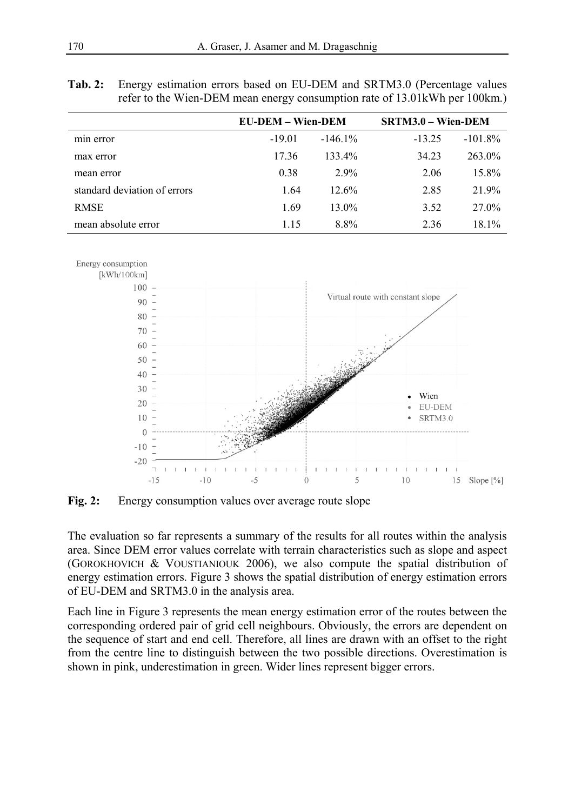|                              |          | <b>EU-DEM – Wien-DEM</b> |          | $SRTM3.0 - Wien-DEM$ |  |
|------------------------------|----------|--------------------------|----------|----------------------|--|
| min error                    | $-19.01$ | $-146.1%$                | $-13.25$ | $-101.8\%$           |  |
| max error                    | 17.36    | 133.4%                   | 34.23    | $263.0\%$            |  |
| mean error                   | 0.38     | $2.9\%$                  | 2.06     | 15.8%                |  |
| standard deviation of errors | 1.64     | $12.6\%$                 | 2.85     | 21.9%                |  |
| <b>RMSE</b>                  | 1.69     | $13.0\%$                 | 3.52     | 27.0%                |  |
| mean absolute error          | 1.15     | 8.8%                     | 2.36     | 18.1%                |  |

**Tab. 2:** Energy estimation errors based on EU-DEM and SRTM3.0 (Percentage values refer to the Wien-DEM mean energy consumption rate of 13.01kWh per 100km.)



Fig. 2: Energy consumption values over average route slope

The evaluation so far represents a summary of the results for all routes within the analysis area. Since DEM error values correlate with terrain characteristics such as slope and aspect (GOROKHOVICH & VOUSTIANIOUK 2006), we also compute the spatial distribution of energy estimation errors. Figure 3 shows the spatial distribution of energy estimation errors of EU-DEM and SRTM3.0 in the analysis area.

Each line in Figure 3 represents the mean energy estimation error of the routes between the corresponding ordered pair of grid cell neighbours. Obviously, the errors are dependent on the sequence of start and end cell. Therefore, all lines are drawn with an offset to the right from the centre line to distinguish between the two possible directions. Overestimation is shown in pink, underestimation in green. Wider lines represent bigger errors.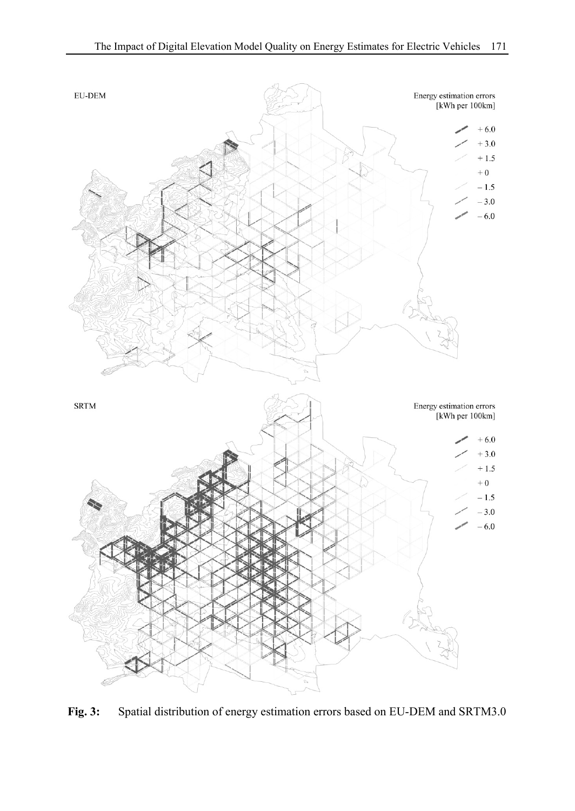

**Fig. 3:** Spatial distribution of energy estimation errors based on EU-DEM and SRTM3.0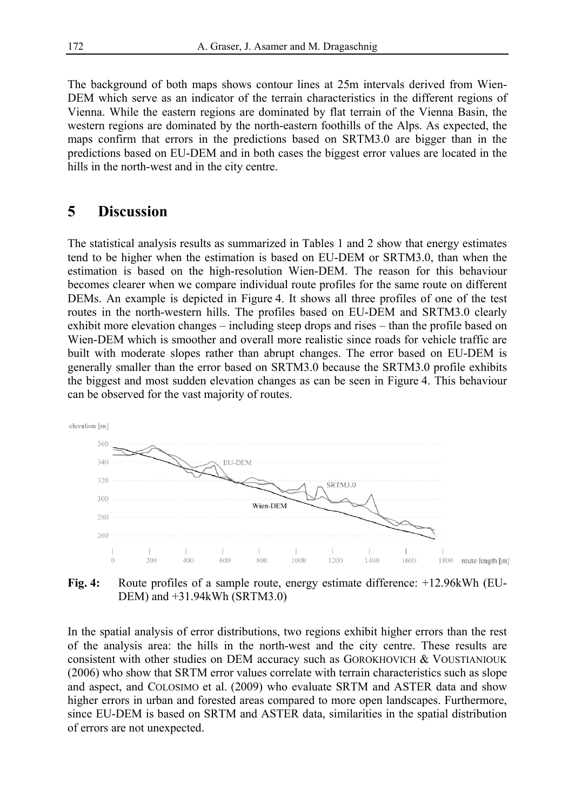The background of both maps shows contour lines at 25m intervals derived from Wien-DEM which serve as an indicator of the terrain characteristics in the different regions of Vienna. While the eastern regions are dominated by flat terrain of the Vienna Basin, the western regions are dominated by the north-eastern foothills of the Alps. As expected, the maps confirm that errors in the predictions based on SRTM3.0 are bigger than in the predictions based on EU-DEM and in both cases the biggest error values are located in the hills in the north-west and in the city centre.

#### **5 Discussion**

The statistical analysis results as summarized in Tables 1 and 2 show that energy estimates tend to be higher when the estimation is based on EU-DEM or SRTM3.0, than when the estimation is based on the high-resolution Wien-DEM. The reason for this behaviour becomes clearer when we compare individual route profiles for the same route on different DEMs. An example is depicted in Figure 4. It shows all three profiles of one of the test routes in the north-western hills. The profiles based on EU-DEM and SRTM3.0 clearly exhibit more elevation changes – including steep drops and rises – than the profile based on Wien-DEM which is smoother and overall more realistic since roads for vehicle traffic are built with moderate slopes rather than abrupt changes. The error based on EU-DEM is generally smaller than the error based on SRTM3.0 because the SRTM3.0 profile exhibits the biggest and most sudden elevation changes as can be seen in Figure 4. This behaviour can be observed for the vast majority of routes.



Fig. 4: Route profiles of a sample route, energy estimate difference: +12.96kWh (EU-DEM) and +31.94kWh (SRTM3.0)

In the spatial analysis of error distributions, two regions exhibit higher errors than the rest of the analysis area: the hills in the north-west and the city centre. These results are consistent with other studies on DEM accuracy such as GOROKHOVICH & VOUSTIANIOUK (2006) who show that SRTM error values correlate with terrain characteristics such as slope and aspect, and COLOSIMO et al. (2009) who evaluate SRTM and ASTER data and show higher errors in urban and forested areas compared to more open landscapes. Furthermore, since EU-DEM is based on SRTM and ASTER data, similarities in the spatial distribution of errors are not unexpected.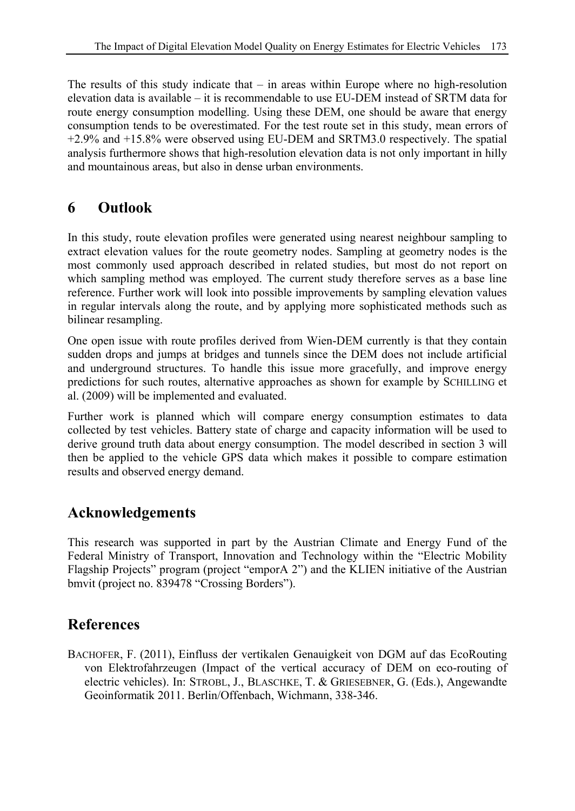The results of this study indicate that  $-$  in areas within Europe where no high-resolution elevation data is available – it is recommendable to use EU-DEM instead of SRTM data for route energy consumption modelling. Using these DEM, one should be aware that energy consumption tends to be overestimated. For the test route set in this study, mean errors of +2.9% and +15.8% were observed using EU-DEM and SRTM3.0 respectively. The spatial analysis furthermore shows that high-resolution elevation data is not only important in hilly and mountainous areas, but also in dense urban environments.

# **6 Outlook**

In this study, route elevation profiles were generated using nearest neighbour sampling to extract elevation values for the route geometry nodes. Sampling at geometry nodes is the most commonly used approach described in related studies, but most do not report on which sampling method was employed. The current study therefore serves as a base line reference. Further work will look into possible improvements by sampling elevation values in regular intervals along the route, and by applying more sophisticated methods such as bilinear resampling.

One open issue with route profiles derived from Wien-DEM currently is that they contain sudden drops and jumps at bridges and tunnels since the DEM does not include artificial and underground structures. To handle this issue more gracefully, and improve energy predictions for such routes, alternative approaches as shown for example by SCHILLING et al. (2009) will be implemented and evaluated.

Further work is planned which will compare energy consumption estimates to data collected by test vehicles. Battery state of charge and capacity information will be used to derive ground truth data about energy consumption. The model described in section 3 will then be applied to the vehicle GPS data which makes it possible to compare estimation results and observed energy demand.

# **Acknowledgements**

This research was supported in part by the Austrian Climate and Energy Fund of the Federal Ministry of Transport, Innovation and Technology within the "Electric Mobility Flagship Projects" program (project "emporA 2") and the KLIEN initiative of the Austrian bmvit (project no. 839478 "Crossing Borders").

# **References**

BACHOFER, F. (2011), Einfluss der vertikalen Genauigkeit von DGM auf das EcoRouting von Elektrofahrzeugen (Impact of the vertical accuracy of DEM on eco-routing of electric vehicles). In: STROBL, J., BLASCHKE, T. & GRIESEBNER, G. (Eds.), Angewandte Geoinformatik 2011. Berlin/Offenbach, Wichmann, 338-346.